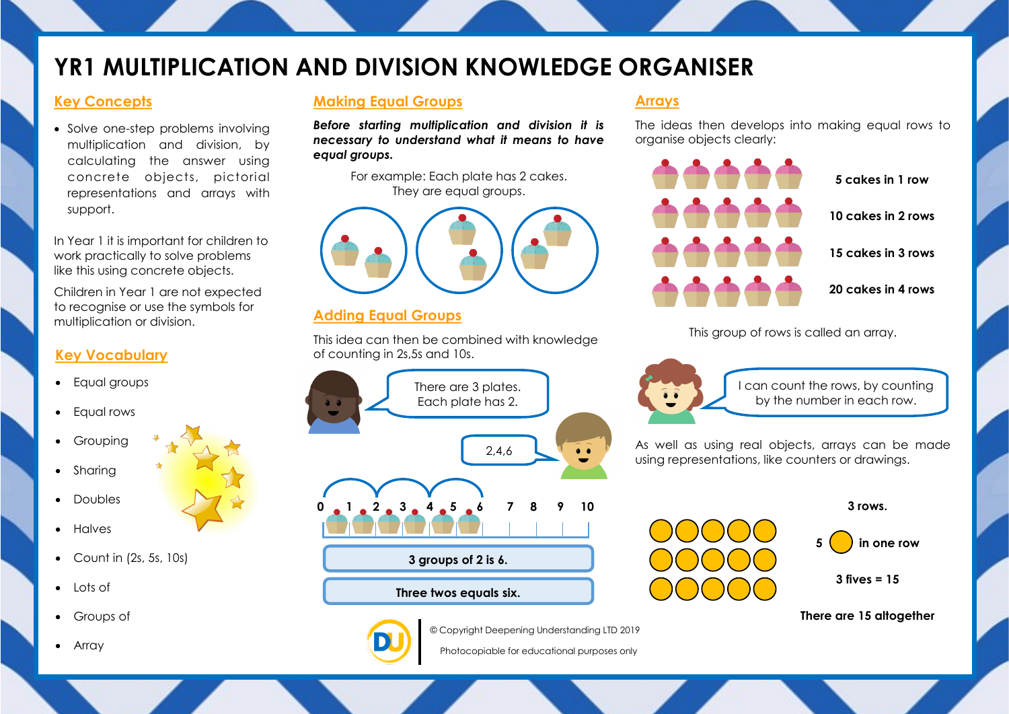# **YR1 MULTIPLICATION AND DIVISION KNOWLEDGE ORGANISER**

### **Key Concepts**

• Solve one-step problems involving multiplication and division, by calculating the answer using concrete objects, pictorial representations and arrays with support.

In Year 1 it is important for children to work practically to solve problems like this using concrete objects.

Children in Year 1 are not expected to recognise or use the symbols for multiplication or division.

### **Key Vocabulary**

- Equal groups
- Equal rows
- Grouping
- Sharing
- Doubles
- Halves
- $\bullet$  Count in (2s, 5s, 10s)
- $\bullet$  Lots of
- Groups of
- Array

## **Making Equal Groups**

*Before starting multiplication and division it is necessary to understand what it means to have equal groups.* 

> For example: Each plate has 2 cakes. They are equal groups.



### **Adding Equal Groups**

This idea can then be combined with knowledge of counting in 2s,5s and 10s.





The ideas then develops into making equal rows to organise objects clearly:



This group of rows is called an array.



I can count the rows, by counting by the number in each row.

As well as using real objects, arrays can be made using representations, like counters or drawings.



**3 rows.**



**3 fives = 15**





© Copyright Deepening Understanding LTD 2019 Photocopiable for educational purposes only